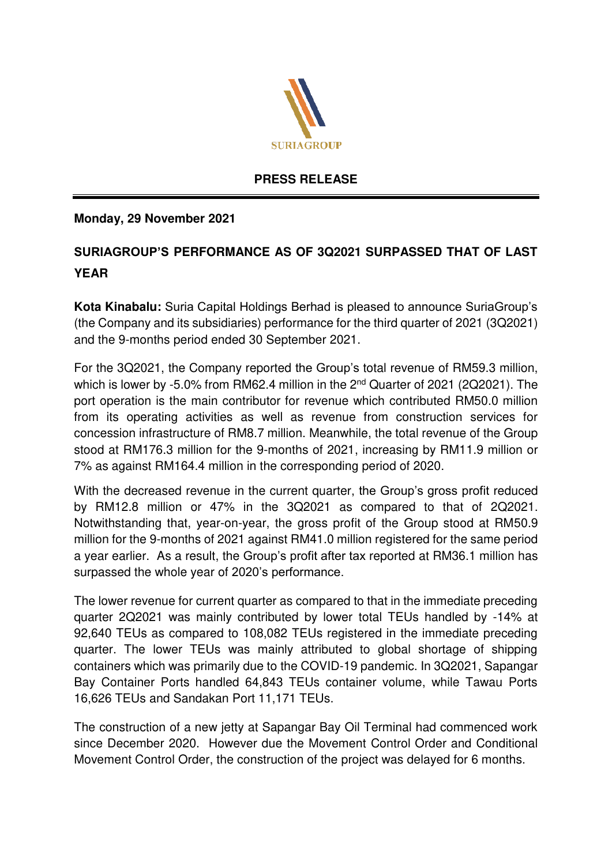

## **PRESS RELEASE**

## **Monday, 29 November 2021**

## **SURIAGROUP'S PERFORMANCE AS OF 3Q2021 SURPASSED THAT OF LAST YEAR**

**Kota Kinabalu:** Suria Capital Holdings Berhad is pleased to announce SuriaGroup's (the Company and its subsidiaries) performance for the third quarter of 2021 (3Q2021) and the 9-months period ended 30 September 2021.

For the 3Q2021, the Company reported the Group's total revenue of RM59.3 million, which is lower by -5.0% from RM62.4 million in the 2<sup>nd</sup> Quarter of 2021 (2Q2021). The port operation is the main contributor for revenue which contributed RM50.0 million from its operating activities as well as revenue from construction services for concession infrastructure of RM8.7 million. Meanwhile, the total revenue of the Group stood at RM176.3 million for the 9-months of 2021, increasing by RM11.9 million or 7% as against RM164.4 million in the corresponding period of 2020.

With the decreased revenue in the current quarter, the Group's gross profit reduced by RM12.8 million or 47% in the 3Q2021 as compared to that of 2Q2021. Notwithstanding that, year-on-year, the gross profit of the Group stood at RM50.9 million for the 9-months of 2021 against RM41.0 million registered for the same period a year earlier. As a result, the Group's profit after tax reported at RM36.1 million has surpassed the whole year of 2020's performance.

The lower revenue for current quarter as compared to that in the immediate preceding quarter 2Q2021 was mainly contributed by lower total TEUs handled by -14% at 92,640 TEUs as compared to 108,082 TEUs registered in the immediate preceding quarter. The lower TEUs was mainly attributed to global shortage of shipping containers which was primarily due to the COVID-19 pandemic. In 3Q2021, Sapangar Bay Container Ports handled 64,843 TEUs container volume, while Tawau Ports 16,626 TEUs and Sandakan Port 11,171 TEUs.

The construction of a new jetty at Sapangar Bay Oil Terminal had commenced work since December 2020. However due the Movement Control Order and Conditional Movement Control Order, the construction of the project was delayed for 6 months.